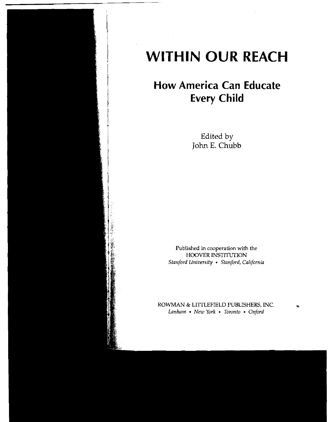# **WITHIN OUR REACH**

## **How America Can Educate Every Child**

Edited by John E. Chubb

Published in cooperation with the HOOVER INSTITUTION **Stanford University • Stanford, California** 

高橋 十二年 福家 神話

ROWMAN & LITTLEFIELD PUBLISHERS, INC. **<sup>9</sup>** Lanham • New York • Toronto • Oxford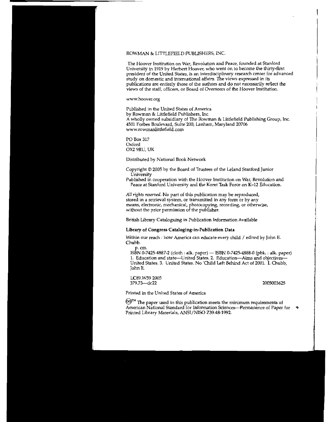#### ROWMAN & LITTLEFIELD PUBLISHERS, INC.

The Hoover Institution on War, Revolution and Peace, founded at Stanford University in 1919 by Herbert Hoover, who went on to become the thirty-first president of the United States, is an interdisciplinary research center for advanced study on domestic and international affairs. The views expressed in its publications are entirely those of the authors and do not necessarily reflect the views of the staff, officers, or Board of Overseers of the Hoover Institution.

#### www.hoover.org

Published in the United States of America by Rowman & Littlefield Publishers, Inc. A wholly owned subsidiary of The Rowman & Littlefield Publishing Group, Inc. 4501 Forbes Boulevard, Suite 200, Lanham, Maryland 20706 www.rowmanlittlefield.com

PO Box 317 Oxford OX2 9RU. UK

Distributed by National Book Network

Copyright © 2005 by the Board of Trustees of the Leland Stanford Junior University

Published in cooperation with the Hoover Institution on War, Revolution and Peace at Stanford University and the Koret Task Force on K-12 Education.

All rights reserved. No part of this publication may be reproduced, stored in a retrieval system, or transmitted in any form or by any means, electronic, mechanical, photocopying, recording, or otherwise, without the prior permission of the publisher.

British Library Cataloguing in Publication Information Available

#### Library of Congress Cataloging-in-Publication Data

Within our reach : how America can educate every child / edited by John E. Chubb.

p. cm.

ISBN 0-7425-4887-2 (cloth : alk. paper) - ISBN 0-7425-4888-0 (pbk. : alk. paper) 1. Education and state-United States. 2. Education-Aims and objectives-United States. 3. United States. No 'Child Left Behind Act of 2001. I. Chubb, John E.

LC89.W59 2005 379.73-dc22

2005003625

Printed in the United States of America

 $\bigotimes^{\text{TM}}$  The paper used in this publication meets the minimum requirements of American National Standard for Information Sciences-Permanence of Paper for % Printed Library Materials, ANSI/NISO Z39.48-1992.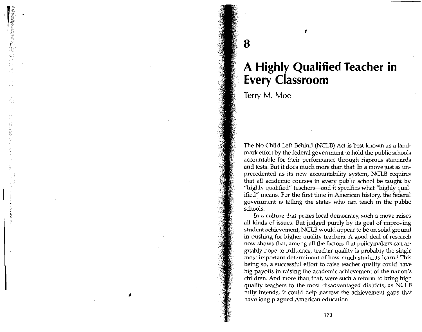## <sup>1</sup>**A Highly Qualified Teacher in <sup>B</sup>Every Classroom**

**1** Terry M. Moe

i

8

**2:'** 

The No Child Left Behind (NCLB) Act is best known as a land-. mark effort by the federal government to hold the public schools accountable for their performance through rigorous standards and tests. But it does much more than that. In a move just as unprecedented as its new accountability system, NCLB requires that all academic courses in every public school be taught by "highly qualified" teachers-and it specifies what "highly qualified" means. For the first time in American history, the federal government is telling the states who can teach in the public schools.

In a culture that prizes local democracy, such a move raises **all** kinds of issues. But judged purely by its goal of improving student achievement, NCLB would appear to be on solid ground in pushing for higher quality teachers. A good deal of research now shows that, among all the factors that policymakers can arguably hope to influence, teacher quality is probably the single most important determinant of how much students learn.<sup>1</sup> This being so, a successful effort to raise teacher quality could have big payoffs in raising the academic achicvemcnt of the nation's children. And more than that, were such a reform to bring high quality teachers to the most disadvantaged districts, as NCLB fully intends, it could help narrow the achievement gaps that have long plagued American education.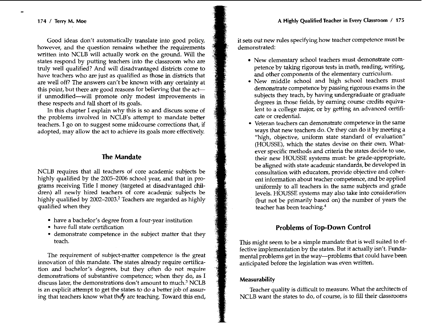Good ideas don't automatically translate into good policy, however, and the question remains whether the requirements written into NCLB will actually work on the ground. Will the states respond by putting teachers into the classroom who are truly well qualified? And will disadvantaged districts come to have teachers who are just as qualified as those in districts that are well off? The answers can't be known with any certainty at this point, but there are good reasons for believing that the actif unmodified-will promote only modest improvements in these respects and fall short of its goals.

In this chapter I explain why this is so and discuss some of the problems involved in NCLB's attempt to mandate better teachers. I go on to suggest some midcourse corrections that, if adopted, may allow the act to achieve its goals more effectively.

## **The Mandate**

NCLB requires that all teachers of core academic subjects be highly qualified by the 2005-2006 school year, and that in programs receiving Title I money (targeted at disadvantaged children) all newly hired teachers of core academic subjects be highly qualified by 2002-2003.<sup>2</sup> Teachers are regarded as highly qualified when they

- have a bachelor's degree from a four-year institution
- have full state certification
- demonstrate competence in the subject matter that they teach.

The requirement of subject-matter competence is the great innovation of this mandate. The states already require certification and bachelor's degrees, but they often do not require demonstrations of substantive competence; when they do, as I discuss later, the demonstrations don't amount to much.<sup>3</sup> NCLB is **an** explicit attempt to get the states to do a better job of assuring that teachers know what they are teaching. Toward this end,

it sets out new rules specifying how teacher competence must be demonstrated:

- New elementary school teachers must demonstrate competence by taking rigorous tests in math, reading, writing, and other components of the elementary curriculum.
- New middle school and high school teachers must demonstrate competence by passing rigorous exams in the subjects they teach, by having undergraduate or graduate degrees in those fields, by earning course credits equivalent to a college major, or by getting an advanced certificate or credential.
- Veteran teachers can demonstrate competence in the same ways that new teachers do. Or they can do it by meeting a "high, objective, uniform state standard of evaluation" (HOUSSE), which the states devise on their own. Whatever specific methods and criteria the states decide to use, their new HOUSSE systems must: be grade-appropriate, be aligned with state academic standards, be developed in consultation with educators, provide objective and coherent information about teacher competence, and be applied uniformly to all teachers in the same subjects and grade levels. HOUSSE systems may also take into consideration (but not be primarily based on) the number of years the teacher has been teaching.<sup>4</sup>

## **Problems of Top-Down Control**

This might seem to be a simple mandate that is well suited to effective implementation by the states. But it actually isn't. Fundamental problems get in the way-problems that could have been anticipated before the legislation was even written.

## Measurability

Teacher quality is difficult to measure. What the architects of NCLB want the states to do, of course, is to fill their classrooms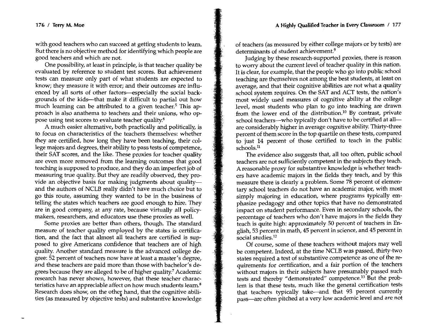with good teachers who can succeed at getting students to learn. But there is no objective method for identifying which people are good teachers and which are not.

One possibility, at least in principle, is that teacher quality be evaluated by reference to student test scores. But achievement tests can measure only part of what students are expected to know; they measure it with error; and their outcomes are influenced by all sorts of other factors-especially the social backgrounds of the kids-that make it difficult to partial out how much learning can be attributed to a given teacher.<sup>5</sup> This approach is also anathema to teachers and their unions, who oppose using test scores to evaluate teacher quality.<sup>6</sup>

A much easier alternative, both practically and politically, is to focus on characteristics of the teachers themselves: whether they are certified, how long they have been teaching, their college majors and degrees, their ability to pass tests of competence, their SAT scores, and the like. These proxies for teacher quality are even more removed from the learning outcomes that good teaching is supposed to produce, and they do an imperfect job of measuring true quality. But they are readily observed, they provide an objective basis for making judgments about qualityand the authors of NCLB really didn't have much choice but to go this route, assuming they wanted to be in the business of telling the states which teachers are good enough to hire. They are in good company, at any rate, because virtually all policymakers, researchers, and educators use these proxies as well.

Some proxies are better than others, though. The standard measure of teacher quality employed by the states is certification, and the fact that almost all teachers are certified is supposed to give Americans confidence that teachers are of high quality. Another standard measure is the advanced college degree: **52** percent of teachers now have at least a master's degree, and these teachers are paid more than those with bachelor's degrees because they are alleged to be of higher quality.7 Academic research has never shown, however, that these teacher characteristics have an appreciable affect on how much students learn.<sup>8</sup> Research does show, on the other hand, that the cognitive abilities (as measured by objective tests) and substantive knowledge

of teachers (as measured by either college majors or by tests) are determinants of student achievement.<sup>9</sup>

Judging by these research-supported proxies, there is reason to worry about the current level of teacher quality in this nation. It is clear, for example, that the people who go into public school teaching are themselves not among the best students, at least on average, and that their cognitive abilities are not what a quality school system requires. On the SAT and ACT tests, the nation's most widely used measures of cognitive ability at the college level, most students who plan to go into teaching are drawn from the lower end of the distribution.1° By contrast, private school teachers--who typically don't have to be certified at allare considerably higher in average cognitive ability. Thirty-three percent of them score in the top quartile on these tests, compared to just **14** percent of those certified to teach in the public schools.<sup>11</sup>

The evidence also suggests that, all too often, public school teachers are not sufficiently competent in the subjects they teach. A reasonable proxy for substantive knowledge is whether teachers have academic majors in the fields they teach, and by this measure there is clearly a problem. Some 78 percent of elementary school teachers do not have an academic major, with most simply majoring in education, where programs typically emphasize pedagogy and other topics that have no demonstrated impact on student performance. Even in secondary schools, the percentage of teachers who don't have majors in the fields they teach is quite high: approximately **50** percent of teachers in English, **53** percent in math, **45** percent in science, and **45** percent in social studies. $12$ 

Of course, some of these teachers without majors may well be competent. Indeed, at the time NCLB was passed, thirty-two states required a test of substantive competence as one of the requirements for certification, and a fair portion of the teachers without majors in their subjects have presumably passed such tests and thereby "demonstrated" competence.<sup>13</sup> But the problem is that these tests, much like the general certification tests that teachers typically take-and that **93** percent currently pass-are often pitched at a very low academic level and are not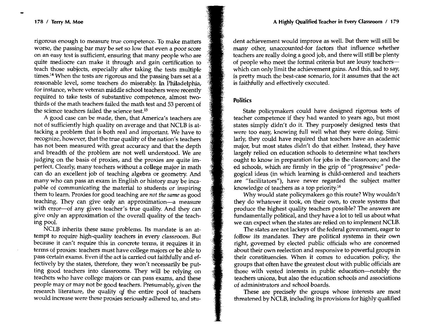rigorous enough to measure true competence. To make matters worse, the passing bar may be set so low that even a poor score on an easy test is sufficient, ensuring that many people who are quite mediocre can make it through and gain certification to teach those subjects, especially after taking the tests multiple times.14 When the tests are rigorous and the passing bars set at a reasonable level, some teachers do miserably. In Philadelphia, for instance, where veteran middle school teachers were recently required to take tests of substantive competence, almost twothirds of the math teachers failed the math test and 53 percent of the science teachers failed the science test.15

A good case can be made, then, that America's teachers are not of sufficiently high quality on average and that NCLB is attacking a problem that is both real and important. We have to recognize, however, that the true quality of the nation's teachers has not been measured with great accuracy and that the depth and breadth of the problem are not well understood. We are judging on the basis of proxies, and the proxies are quite imperfect. Clearly, many teachers without a college major in math can do an excellent job of teaching algebra or geometry. And many who can pass an exam in English or history may be incapable of communicating the material to students or inspiring them to learn. Proxies for good teaching are *not the same* as good teaching. They can give only an approximation-a measure with error-of any given teacher's true quality. And they can give only an approximation of the overall quality of the teaching pool.

NCLB inherits these same problems. Its mandate is an attempt to require high-quality teachers in every classroom. But because it can't require this in concrete terms, it requires it in terms of proxies: teachers must have college majors or be able to pass certain exams. Even if the act is carried out faithfully and effectively by the states, therefore, they won't necessarily be putting good teachers into classrooms. They will be relying on teachers who have college majors or can pass exams, and these people may or may not be good teachers. Presumably, given the research literature, the quality of the entire pool of teachers would increase were these proxies seriously adhered to, and stu-

dent achievement would improve as well. But there will still be many other, unaccounted-for factors that influence whether teachers are really doing a good job, and there will still be plenty of people who meet the formal criteria but are lousy teacherswhich can only limit the achievement gains. And this, sad to say, is pretty much the best-case scenario, for it assumes that the act is faithfully and effectively executed.

#### **Politics**

State policymakers could have designed rigorous tests of teacher competence if they had wanted to years ago, but most states simply didn't do it. They purposely designed tests that were too easy, knowing full well what they were doing. Similarly, they could have required that teachers have an academic major, but most states didn't do that either. Instead, they have largely relied on education schools to determine what teachers ought to know in preparation for jobs in the classroom; and the ed schools, which are firmly in the grip of "progressive" pedagogical ideas (in which learning is child-centered and teachers are "facilitators"), have never regarded the subject matter knowledge of teachers as a top priority.16

Why would state policymakers go this route? Why wouldn't they do whatever it took, on their own, to create systems that produce the highest quality teachers possible? The answers are fundamentally political, and they have a lot to tell us about what we can expect when the states are relied on to implement NCLB.

The states are not lackeys of the federal government, eager to follow its mandates. They are political systems in their own right, governed by elected public officials who are concerned about their own reelection and responsive to powerful groups in their constituencies. When it comes to education policy, the groups that often have the greatest clout with public officials are those with vested interests in public education-notably the teachers unions, but also the education schools and associations of administrators and school boards.

These are precisely the groups whose interests are most threatened by NCLB, including its provisions for highly qualified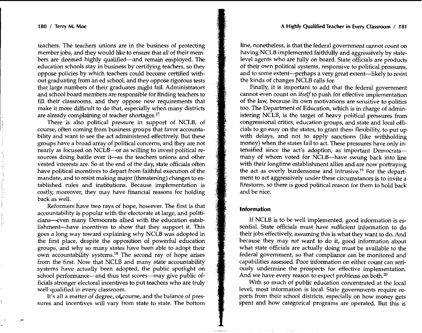teachers. The teachers unions are in the business of protecting member jobs, and they would like to ensure that all of their members are deemed highly qualified-and remain employed. The education schools stay in business by certifying teachers, so they oppose policies by which teachers could become certified without graduating from an ed school, and they oppose rigorous tests that large numbers of their graduates might fail. Administrators and school board members are responsible for finding teachers to fill their classrooms, and they oppose new requirements that make it more difficult to do that, especially when many districts are already complaining of teacher shortages.17

There is also political pressure in support of NCLB, of course, often coming from business groups that favor accountability and want to see the act administered effectively. But these groups have a broad array of political concerns, and they are not nearly as focused on NCLB—or as willing to invest political resources doing battle over it—as the teachers unions and other vested interests are. So at the end of the day, state officials often have political incentives to depart from faithful execution of the mandate, and to resist making major (threatening) changes to established rules and institutions. Because implementation is costly, moreover, they may have financial reasons for holding back as well.

Reformers have two rays of hope, however. The first is that accountability is popular with the electorate at large, and politicians-even many Democrats allied with the education establishment-have incentives to show that they support it. This goes a long way toward explaining why NCLB was adopted in the first place, despite the opposition of powerful education groups, and why so many states have been able to adopt their own accountability systems.<sup>18</sup> The second ray of hope arises from the first. Now that NCLB and many state accountability systems have actually been adopted, the public spotlight on school performance-and thus test scores-may give public officials stronger electoral incentives to put teachers who are truly well qualified in every classroom.

It's all a matter of degree, of course, and the balance of pressures and incentives will vary from state to state. The bottom

line, nonetheless, is that the federal government cannot count on having NCLB implemented faithfully and aggressively by statelevel agents who are fully on board. State officials are products of their own political systems, responsive to political pressures, and to some extent-perhaps a very great extent-likely to resist the kinds of changes NCLB calls for.

Finally, it is important to add that the federal government cannot even count on *itseIf* to push for effective implementation of the law, because its own motivations are sensitive to politics too. The Department of Education, which is in charge of administering NCLB, is the target of heavy political pressures from congressional critics, education groups, and state and local officials to go easy on the states, to grant them flexibility, to put up with delays, and not to apply sanctions (like withholding money) when the states fail to act. These pressures have only intensified since the act's adoption, as important Democratsmany of whom voted for NCLB-have swung back into line with their longtime establishment allies and are now portraying the act as overly burdensome and intrusive.<sup>19</sup> For the department to act aggressively under these circumstances is to invite a firestom, so there is good political reason for them to hold back and be nice.

#### **Information**

If NCLB is to be well implemented, good information is essential. State officials must have sufficient information to do their jobs effectively, assuming this is what they want to do. And because they may *not* want to do it, good information about what state officials are actually doing must be available to the federal government, so that compliance can be monitored and capabilities assessed. Poor information on either count can seriously undermine the prospects for effective implementation. And we have every reason to expect problems on both.<sup>20</sup>

With so much of public education concentrated at the local level, most information is local. State governments require reports from their school districts, especially on how money gets spent and how categorical programs are operated. But this is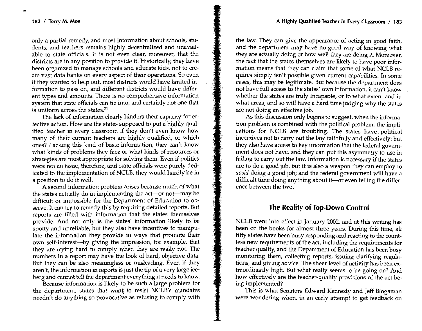only a partial remedy, and most information about schools, students, and teachers remains highly decentralized and unavailable to state officials. It is not even clear, moreover, that the districts are in any position to provide it. Historically, they have been organized to manage schools and educate kids, not to create vast data banks on every aspect of their operations. So even if they wanted to help out, most districts would have limited information to pass on, and different districts would have different types and amounts. There is no comprehensive information system that state officials can tie into, and certainly not one that is uniform across the states. $21$ 

The lack of information clearly hinders their capacity for effective action. How are the states supposed to put a highly qualified teacher in every classroom if they don't even know how many of their current teachers are highly qualified, or which ones? Lacking this kind of basic information, they can't know what kinds of problems they face or what kinds of resources or strategies are most appropriate for solving them. Even if politics were not an issue, therefore, and state officials were purely dedicated to the implementation of NCLB, they would hardly be in a position to do it well.

A second information problem arises because much of what the states actually do in implementing the act--or not--may be difficult or impossible for the Department of Education to observe. It can try to remedy this by requiring detailed reports. But reports are filled with information that the states themselves provide. And not only is the states' information likely to be spotty and unreliable, but they also have incentives to manipulate the information they provide in ways that promote their own self-interest--by giving the impression, for example, that they are trying hard to comply when they are really not. The numbers in a report may have the look of hard, objective data. But they can be also meaningless or misleading. Even if they aren't, the information in reports is just the tip of a very large iceberg and cannot tell the department everything it needs to know.

Because information is likely to be such a large problem for the department, states that want, to resist NCLB's mandates needn't do anything so provocative as refusing to comply with the law. They can give the appearance of acting in good faith, and the department may have no good way of knowing what they are actually doing or how well they are doing it. Moreover, the fact that the states themselves are likely to have poor information means that they can claim that some of what NCLB requires simply isn't possible given current capabilities. In some cases, this may be legitimate. But because the department does not have full access to the states' own information, it can't know whether the states are truly incapable, or to what extent and in what areas, and so will have a hard time judging why the states are not doing an effective job.

As this discussion only begins to suggest, when the information problem is combined with the political problem, the implications for NCLB are troubling. The states have political incentives not to cany out the law faithfully and effectively; but they also have access to key information that the federal govemment does not have, and they can put this asymmetry to use in failing to carry out the law. Information is necessary if the states are to do a good job, but it is also a weapon they can employ to **avoid** doing a good job; and the federal government will have a difficult time doing anything about it-or even telling the difference between the two.

## **The Reality of Top-Down Control**

NCLB went into effect in January 2002, and at this writing has been on the books for almost three years. During this time, all fifty states have been busy responding and reacting to the countless new requirements of the act, including the requirements for teacher quality, and the Department of Education has been busy monitoring them, collecting reports, issuing clarifying regulations, and giving advice. The sheer level of activity has been extraordinarily high. But what really seems to be going on? And how effectively are the teacher-quality provisions of the act being implemented?

This is what Senators Edward Kennedy and Jeff Bingaman were wondering when, in an early attempt to get feedback on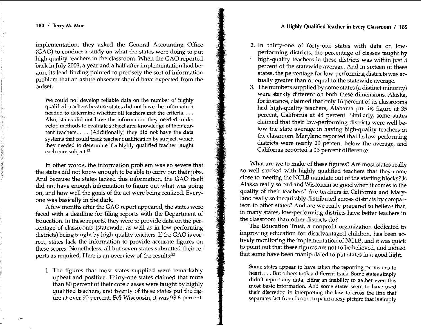implementation, they asked the General Accounting Office (GAO) to conduct a study on what the states were doing to put high quality teachers in the classroom. When the GAO reported back in July 2003, a year and a half after implementation had begun, its lead finding pointed to precisely the sort of information problem that an astute observer should have expected from the outset.

We could not develop reliable data on the number of highly qualified teachers because states did not have the information needed to determine whether all teachers met the criteria. . . . Also, states did not have the information they needed to develop methods to evaluate subject area knowledge of their current teachers. . . . [Additionally] they did not have the data systems that could track teacher qualification by subject, which they needed to determine if a highly qualified teacher taught each core subject.<sup>22</sup>

In other words, the information problem was so severe that the states did not know enough to be able to carry out their jobs. And because the states lacked this information, the GAO itself did not have enough information to figure out what was going on, and how well the goals of the act were being realized. Everyone was basically in the dark.

Afew months after the GAO report appeared, the states were faced with a deadline for filing reports with the Department of Education. In these reports, they were to provide data on the percentage of classrooms (statewide, as well as in low-performing districts) being taught by high-quality teachers. If the GAO is correct, states lack the information to provide accurate figures on these scores. Nonetheless, **all** but seven states submitted their reports as required. Here is an overview of the results:<sup>23</sup>

1. The figures that most states supplied were remarkably upbeat and positive. Thirty-one states claimed that more than 80 percent of their core classes were taught by highly qualified teachers, and twenty of these states put the figure at over 90 percent. Fof Wisconsin, it was 98.6 percent.

- 2. In thirty-one of forty-one states with data on lowperfonning districts, the percentage of classes taught by
- high-quality teachers in these districts was within just 5 percent of the statewide average. And in sixteen of these states, the percentage for low-performing districts was actually greater than or equal to the statewide average.
- 3. The numbers supplied by some states (a distinct minority) were starkly different on both these dimensions. Alaska, for instance, claimed that only 16 percent of its classrooms had high-quality teachers, Alabama put its figure at 35 percent, California at 48 percent. Similarly, some states claimed that their bw-performing districts were well below the state average in having high-quality teachers in the classroom. Maryland reported that its low-performing districts were nearly 20 percent below the average, and California reported a 13 percent difference.

What are we to make of these figures? Are most states really so well stocked with highly qualified teachers that they come close to meeting the NCLB mandate out of the starting blocks? Is Alaska really so bad and Wisconsin so good when it comes to the quality of their teachers? Are teachers in California and Maryland really so inequitably distributed across districts by comparison to other states? And are we really prepared to believe that, in many states, low-performing districts have better teachers in the classroom than other districts do?

The Education Trust, a nonprofit organization dedicated to improving education for disadvantaged children, has been actively monitoring the implementation of NCLB, and it was quick to point out that these figures are not to be believed, and indeed that some have been manipulated to put states in a good light.

Some states appear to have taken the reporting provisions to heart. . . . But others took a different track. Some states simply didn't report any data, citing an inability to gather even this most basic information. And some states seem to have used their discretion in interpreting the law to cross the line that separates fact from fiction, to paint a rosy picture that is simply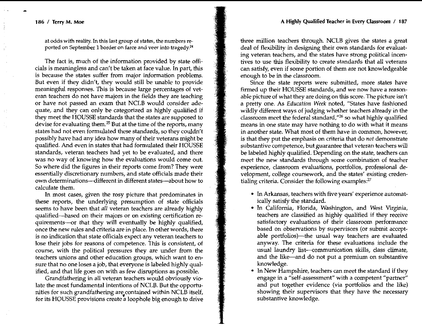at odds with reality. In this last group of states, the numbers reported on September 1 border on farce and veer into tragedy.<sup>24</sup>

The fact is, much of the information provided by state officials is meaningless and can't be taken at face value. In part, this is because the states suffer from major information problems. But even if they didn't, they would still be unable to provide meaningful responses. This is because large percentages of veteran teachers do not have majors in the fields they are teaching or have not passed an exam that NCLB would consider adequate, and they can only be categorized as highly qualified if they meet the HOUSSE standards that the states are supposed to devise for evaluating them.<sup>25</sup> But at the time of the reports, many states had not even formulated these standards, so they couldn't possibly have had any idea how many of their veterans might be qualified. And even in states that had formulated their HOUSSE standards, veteran teachers had yet to be evaluated, and there was no way of knowing how the evaluations would come out. So where did the figures in their reports come from? They were essentially discretionary numbers, and state officials made their own determinations-different in different states-about how to calculate them.

**In** most cases, given the rosy picture that predominates in these reports, the underlying presumption of state officials seems to have been that all veteran teachers are already highly qualified-based on their majors or on existing certification requirements--or that they will eventually be highly qualified, once the new rules and criteria are in place. In other words, there is no indication that state officials expect any veteran teachers to lose their jobs for reasons of competence. This is consistent, of course, with the political pressures they are under from the teachers unions and other education groups, which want to ensure that no one loses a job, that everyone is labeled highly qualified, and that life goes on with as few disruptions as possible.

Grandfathering in all veteran teachers would obviously violate the most fundamental intentions of NCLB. But the opportunities for such grandfathering are,contained within NCLB itself, for its HOUSSE provisions create a loophole big enough to drive three million teachers through. NCLB gives the states a great deal of flexibility in designing their own standards for evaluating veteran teachers, and the states have strong political incentives to use this flexibility to create standards that all veterans can satisfy, even if some portion of them are not knowledgeable enough to be in the classroom.

Since the state reports were submitted, more states have firmed up their HOUSSE standards, and we now have a reasonable picture of what they are doing on this score. The picture isn't a pretty one. As Education Week noted, "States have fashioned wildly different ways of judging whether teachers already in the classroom meet the federal standard, $^{\prime\prime 26}$  so what highly qualified means in one state may have nothing to do with what it means in another state. What most of them have in common, however, is that they put the emphasis on criteria that do not demonstrate substantive competence, but guarantee that veteran teachers will be labeled highly qualified. Depending on the state, teachers can meet the new standards through some combination of teacher experience, classroom evaluations, portfolios, professional development, college coursework, and the states' existing credentialing criteria. Consider the following examples: $27$ 

- In Arkansas, teachers with five years' experience automatically satisfy the standard.
- In California, Florida, Washington, and West Viginia, teachers are classified as highly qualified if they receive satisfactory evaluations of their classroom performance based on observations by supervisors (or submit acceptable portfolios)-the usual way teachers are evaluated anyway. The criteria for these evaluations include the usual laundry list--communication skills, class climate, and the like—and do not put a premium on substantive knowledge.
- In New Hampshire, teachers can meet the standard if they engage in a "self-assessment" with a competent "partner" and put together evidence (via portfolios and the like) showing their supervisors that they have the necessary substantive knowledge.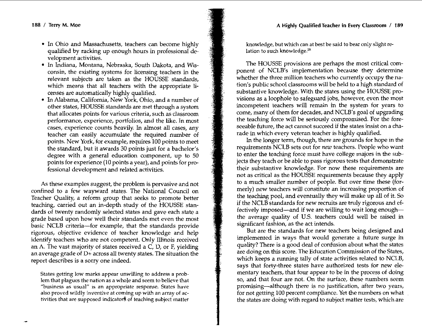- In Ohio and Massachusetts, teachers can become highly qualified by racking up enough hours in professional development activities.
- In Indiana, Montana, Nebraska, South Dakota, and Wisconsin, the existing systems for licensing teachers in the relevant subjects are taken as the HOUSSE standards, which means that all teachers with the appropriate licenses are automatically highly qualified.
- In Alabama, California, New York, Ohio, and a number of other states, HOUSSE standards are met through a system that allocates points for various criteria, such as classroom performance, experience, portfolios, and the like. In most cases, experience counts heavily. In almost **aIl** cases, any teacher can easily accumulate the required number of points. New York, for example, requires 100 points to meet the standard, but it awards 30 points just for a bachelor's degree with a general education component, up to 50 points for experience (10 points a year), and points for professional development and related activities.

As these examples suggest, the problem is pervasive and not confined to a few wayward states. The National Council on Teacher Quality, a reform group that seeks to promote better teaching, carried out an in-depth study of the HOUSSE standards of twenty randomly selected states and gave each state a grade based upon how well their standards met even the most basic NCLB criteria-for example, that the standards provide rigorous, objective evidence of teacher knowledge and help identify teachers who are not competent. Only Illinois received an A. The vast majority of states received a C, D, or F, yielding an average grade of D+ across all twenty states. The situation the report describes is a sorry one indeed.

States getting low marks appear unwilling to address a problem that plagues the nation as a whole and seem to believe that "business as usual" **1s** an appropriate response. States have also proved wildly inventive at coming up with an array of activities that are supposed indicators of teaching subject matter

knowledge, but which can at best be said to bear only slight relation to such knowledge.<sup>28</sup>

The HOUSSE provisions are perhaps the most critical component of NCLB's implementation because they determine whether the three million teachers who currently occupy the nation's public school classrooms will be held to a high standard of substantive knowledge. With the states using the HOUSSE provisions as a loophole to safeguard jobs, however, even the most incompetent teachers will remain **m** the system for years to come, many of them for decades, and NCLB's goal of upgrading the teaching force will be seriously compromised. For the foreseeable future, the act cannot succeed if the states insist on a charade in which every veteran teacher is highly qualified.

In the longer term, though, there are grounds for hope m the requirements NCLB sets out for *new* teachers. People who want to enter the teaching force must have college majors in the subjects they teach or be able to pass rigorous tests that demonstrate their substantive knowledge. For now these requirements are not as critical as the HOUSSE requirements because they apply to a much smaller number of people. But over time these (formerly) new teachers will constitute an increasing proportion of the teaching pool, and eventually they will make up all of it. So if the NCLB standards for new recruits are truly rigorous and effectively imposed—and if we are willing to wait long enough the average quality of U.S. teachers could well be raised in significant fashion, as the act intends.

But are the standards for new teachers being designed and implemented in ways that would generate a future surge **m**  quality? There is a good deal of confusion about what the states are doing on this score. The Education Commission of the States, which keeps a running tally of state activities related to NCLB, says that forty-three states have authorized tests for new elementary teachers, that four appear to be in the process of doing so, and that four are not. On the surface, these numbers seem promising-although there is no justification, after two years, for not getting 100 percent compliance. Yet the numbers on what the states are doing with regard to subject matter tests, which are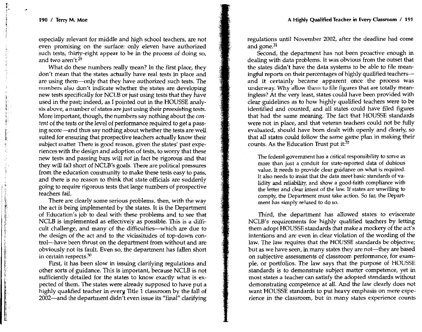especially relevant for middle and high school teachers, are not even promising on the surface: only eleven have authorized such tests, thirty-eight appear to be in the process of doing so, and two aren't. $^{29}$ 

What do these numbers really mean? In the first place, they don't mean that the states actually have real tests in place and are using them—only that they have authorized such tests. The numbers also don't indicate whether the states are developing new tests specifically for NCLB or just using tests that they have used in the past; indeed, as I pointed out in the HOUSSE analysis above, a number of states are just using their preexisting tests. More important, though, the numbers say nothing about the content of the tests or the level of performance required to get a passing score—and thus say nothing about whether the tests are well suited for ensuring that prospective teachers actually know their subject matter. There is good reason, given the states' past experiences with the design and adoption of tests, to worry that these new tests and passing bars will not in fact be rigorous and that they will fall short of NCLB's goals. There are political pressures from the education community to make these tests easy to pass, and there is no reason to think that state officials are suddenly going to require rigorous tests that large numbers of prospective teachers fail.

There are clearly some serious problems, then, with the way the act is being implemented by the states. It is the Department of Education's job to deal with these problems and to see that NCLB is implemented as effectively as possible. This is a difficult challenge, and many of the difficulties-which are due to the design of the act and to the vicissitudes of top-down control-have been thrust on the department from without and are obviously not its fault. Even so, the department has fallen short in certain respects.<sup>30</sup>

First, it has been slow in issuing clarifying regulations and other sorts of guidance. This is important, because NCLB is not sufficiently detailed for the states to know exactly what is expected of them. The states were already supposed to have put a highly qualified teacher in every Title 1 classroom by the fall of 2002—and the department didn't even issue its "final" clarifying regulations until November 2002, after the deadline had come and gone.<sup>31</sup>

Second, the department has not been proactive enough in dealing with data problems. It was obvious from the outset that the states didn't have the data systems to be able to file meaningful reports on their percentages of highly qualified teachersand it certainly became apparent once the process was underway. Why allow them to file figures that are totally meaningless? At the very least, states could have been provided with clear guidelines as to how highly qualified teachers were to be identified and counted, and all states could have filed figures that had the same meaning. The fact that HOUSSE standards were not in place, and that veteran teachers could not be fully evaluated, should have been dealt with openly and clearly, so that all states could follow the same game plan in making their counts. As the Education Trust put it:32

The federal government has a critical responsibility to serve as more than just a conduit for state-reported data of dubious value. It needs to provide clear guidance on what is required. It also needs to insist that the data meet basic standards of validity and reliability, and show a good-faith compliance with the letter and clear intent of the law. If states are unwilling to comply, the Department must take action. So far, the Department has simply refused to do so.

Third, the department has allowed states to eviscerate NCLB's requirements for highly qualified teachers by letting them adopt HOUSSE standards that make a mockery of the act's intentions and are even in clear violation of the wording of the law. The law requires that the HOUSSE standards be objective; but as we have seen, in many states they are not—they are based on subjective assessments of classroom performance, for example, or portfolios. The law says that the purpose of HOUSSE standards is to demonstrate subject matter competence, yet in most states a teacher can satisfy the adopted standards without demonstrating competence at all. And the law clearly does not want HOUSSE standards to put heavy emphasis on mere experience in the classroom, but in many states experience counts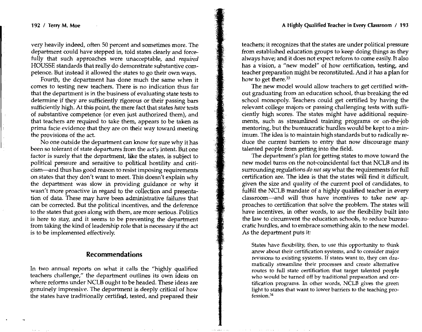very heavily indeed, often 50 percent and sometimes more. The department could have stepped in, told states clearly and forcefully that such approaches were unacceptable, and *required*  HOUSSE standards that really do demonstrate substantive competence. But instead it allowed the states to go their own ways.

Fourth, the department has done much the same when it comes to testing new teachers. There is no indication thus far that the department is in the business of evaluating state tests to determine if they are sufficiently rigorous or their passing bars sufficiently high. At this point, the mere fact that states *have* tests of substantive competence (or even just authorized them), and that teachers are required to take them, appears to be taken as prima facie evidence that they are on their way toward meeting the provisions of the act.

No one outside the department can know for sure why it has been so tolerant of state departures from the act's intent. But one factor is surely that the department, like the states, is subject to political pressure and sensitive to political hostility and criticism-and thus has good reason to resist imposing requirements on states that they don't want to meet. This doesn't explain why the department was slow in providing guidance or why it wasn't more proactive in regard to the collection and presentation of data. These may have been administrative failures that can be corrected. But the political incentives, and the deference to the states that goes along with them, are more serious. Politics is here to stay, and it seems to be preventing the department from taking the kind of leadership role that is necessary if the act is to be implemented effectively.

### **Recommendations**

In two annual reports on what it calls the "highly qualified teachers challenge," the department outlines its own ideas on where reforms under NCLB ought to be headed. These ideas are genuinely impressive. The department is deeply critical of how the states have traditionally certified, tested, and prepared their teachers; it recognizes that the states are under political pressure from established education groups to keep doing things as they always have; and it does not expect reform to come easily. It also has a vision, a "new model" of how certification, testing, and teacher preparation might be reconstituted. And it has a plan for how to get there.<sup>33</sup>

The new model would allow teachers to get certified without graduating from an education school, thus breaking the ed school monopoly. Teachers could get certified by having the relevant college majors or passing challenging tests with sufficiently high scores. The states might have additional requirements, such as streamlined training programs or on-the-job mentoring, but the bureaucratic hurdles would be kept to a minimum. The idea is to maintain high standards but to radically reduce the current barriers to entry that now discourage many talented people from getting into the field.

The department's plan for getting states to move toward the new model turns on the not-coincidental fact that NCLB and its surrounding regulations do not *say* what the requirements for full certification are. The idea is that the states will find it difficult, given the size and quality of the current pool of candidates, to fulfill the NCLB mandate of a highly qualified teacher in every classroom-and will thus have incentives to take new approaches to certification that solve the problem. The states will have incentives, in other words, to *use* the flexibility built into the law to circumvent the education schools, to reduce bureaucratic hurdles, and to embrace something akin to the new model. **As** the department puts it:

States have flexibility, then, to use this opportunity to think anew about their certification systems, and to consider major revisions to existing systems. If states want to, they can dramatically streamline their processes and create alternative routes to full state certification that target talented people who would be turned off by traditional preparation and certification programs. In other words, NCLB gives the green light to states that want to lower barriers to the teaching profession.%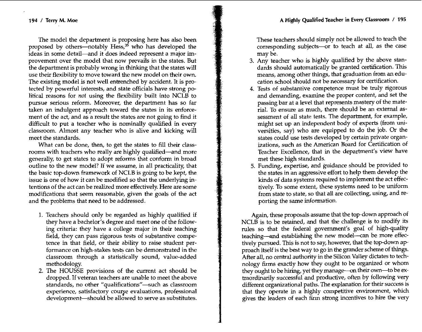The model the department is proposing here has also been proposed by others—notably Hess, $35$  who has developed the ideas in some detail—and it does indeed represent a major improvement over the model that now prevails in the states. But the department is probably wrong in thinking that the states will use their flexibility to move toward the new model on their own. The existing model is not well entrenched by accident. It is protected by powerful interests, and state officials have strong political reasons for not using the flexibility built into NCLB to pursue serious reform. Moreover, the department has so far taken an indulgent approach toward the states in its enforcement of the act, and as a result the states are not going to find it difficult to put a teacher who is nominally qualified in every classroom. Almost any teacher who is alive and kicking will meet the standards.

What can be done, then, to get the states to fill their classrooms with teachers who really are highly qualified—and more generally, to get states to adopt reforms that conform in broad outline to the new model? If we assume, in all practicality, that the basic top-down framework of NCLB is going to be kept, the issue is one of how it can be modified so that the underlying intentions of the act canbe realized more effectively. Here are some modifications that seem reasonable, given the goals of the act and the problems that need to be addressed.

- 1. Teachers should only be regarded as highly qualified if they have a bachelor's degree and meet one of the following criteria: they have a college major in their teaching field, they can pass rigorous tests of substantive competence in that field, or their ability to raise student performance on high-stakes tests can be demonstrated in the classroom through a statistically sound, value-added methodology.
- **2.** The HOUSSE provisions of the current act should be dropped. If veteran teachers are unable to meet the above standards, no other "qualifications"-such as classroom experience, satisfactory course evaluations, professional development-should be allowed to serve as substitutes.

These teachers should simply not be allowed to teach the corresponding subjects-or to teach at all, as the case may be.

- **3.** Any teacher who is highly qualified by the above standards should automatically be granted certification. This means, among other things, that graduation from an education school should not be necessary for certification.
- 4. Tests of substantive competence must be truly rigorous and demanding, examine the proper content, and set the passing bar at a level that represents mastery of the material. To ensure as much, there should be an external assessment of all state tests. The department, for example, might set up an independent body of experts (from **uni**versities, say) who are equipped to do the job. **Or** the states could use tests developed by certain private organizations, such as the American Board for Certification of Teacher Excellence, that in the department's view have met these high standards.
- 5. Funding, expertise, and guidance should be provided to the states in an aggressive effort to help them develop the kinds of data systems required to implement the act effectively. To some extent, these systems need to be uniform from state to state, so that all are collecting, using, and reporting the same information.

Again, these proposals assume that the top-down approach of  $NCLB$  is to be retained, and that the challenge is to modify its rules so that the federal government's goal of high-quality teaching-and establishing the new model-can be more effectively pursued. This is not to say, however, that the top-down ap proach itself is the best way to go in the grander scheme of **things.**  After all, no central authority in the Silicon Valley dictates to technology firms exactly how they ought to be organized or whom they ought to be hiring, yet they manage—on their own—to be extraordinarily successful and productive, often by following very different organizational paths. The explanation for their success is that they operate in a highly competitive environment, which gives the leaders of each firm strong incentives to hire the very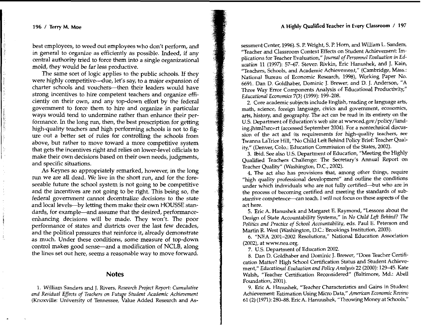!

best employees, to weed out employees who don't perform, and in general to organize as efficiently as possible. Indeed, if any central authority tried to force them into a single organizational mold, they would be far less productive.

The same sort of logic applies to the public schools. If they were highly competitive--due, let's say, to a major expansion of charter schools and vouchers—then their leaders would have strong incentives to hire competent teachers and organize efficiently on their own, and any top-down effort by the federal government to force them to hire and organize in particular ways would tend to undermine rather than enhance their per-<br>formance. In the long run, then, the best prescription for getting high-quality teachers and high performing schools is not to figure out a better set of rules for controlling the schools from above, but rather to move toward a more competitive system that gets the incentives right and relies on lower-level officials to make their own decisions based on their own needs, judgments, and specific situations.

As Keynes so appropriately remarked, however, in the long run we are all dead. We live in the short run, and for the foreseeable future the school system is not going to be competitive and the incentives are not going to be right. This being so, the federal government cannot decentralize decisions to the state and local levels-by letting them make their own HOUSSE standards, for example—and assume that the desired, performance<sup>f</sup>enhancing decisions will be made. They won't. The poor performance of states and districts over the last few decades, and the political pressures that reinforce it, already demonstrate as much. Under these conditions, some measure of top-down control makes good sense—and a modification of NCLB, along the lines set out here, seems a reasonable way to move forward.

#### **Notes**

1. William Sanders and J. Rivers, *Research Project Report: Cumulative*  and Residual Effects of Teachers on Future Student Academic Achievement (Knoxville: University of Tennessee, Value Added Research **and** Assessment Center, 1996). S. P. Wright, S. P. Horn, and William L. Sanders, "Teacher and Classroom Context Effects on Student Achievement: Implications for Teacher Evaluation," *lournal of Personnel Evaluation in Ed*ucation 11 (1997): 57-67. Steven Rivkin, Eric Hanushek, and J. Kain, "Teachers, Schools, and Academic Achievement," (Cambridge, Mass.: National Bureau of Economic Research, 1998), Working Paper No. 6691. Dan D. Goldhaber, Dominic J. Brewer, **and** D. J. Anderson, **"A**  Three Way Error Components Analysis of Educational Productivity," *Educational Economics* 7(3) (1999): 199-208.

2. Core academic subjects include English, reading or language arts, math, science, foreign language, civics and government, economics, **arts,** history, and geography. The act can be read in its entirety on the U.S. Department of Education's web site at www.ed.gov/policy/landing.jhtml?src=rt (accessed September 2004). For a nontechnical discussion of the act and its requirements for high-quality teachers, see Twanna LaTrice Hill, "No Child Left Behind Policy Brief: Teacher Quality," (Denver, Colo.: Education Commission of the States, 2002).

3. Ibid. See also U.S. Department of Education, "Meeting the Highly Qualified Teachers Challenge: The Secretary's Annual Report on Teacher Quality" (Washington, D.C., 2002).

4. The act also has provisions that, among other things, require "high quality professional development" and outline the conditions under which individuals who are not fully certified-but who are in the process of becoming certified and meeting the standards of substantive competence-can teach. I will not focus on these aspects of the act here.

5. Eric A. Hanushek and Margaret E. Raymond, "Lessons about the Design of State Accountability Systems," in *No Child Left Behind? The Politics and Practice of School Accountability,* eds. Paul E. Peterson and Martin R. West (Washington, D.C.: Brookings Institution, 2003).

6. "NEA 2001-2002 Resolutions," National Education Association (2002), at www.nea.org.

7. U.S. Department of Education 2002.

8. Dan D. Goldhaber and Dominic J. Brewer, "Does Teacher Certification Matter? High School Certification Status and Student Achievement," *Educational Evaluation and Policy Analysis* **22** (2000): 12945. Kate Walsh, "Teacher Certification Reconsidered" (Baltimore, Md.: Abell Foundation, 2001).

9. Eric A. Hanushek, "Teacher Characteristics and Gains in Student Achievement: Estimation Using Micro Data," *American Economic Review*  61 (2) (1971): 280–88. Eric A. Hanuushek, "Throwing Money at Schools,"